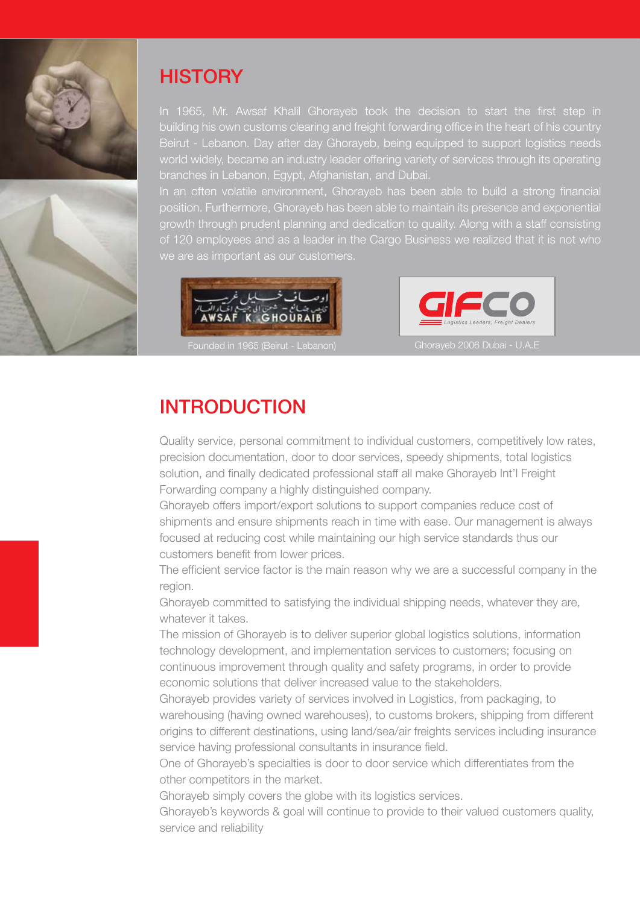



## **HISTORY**

In 1965, Mr. Awsaf Khalil Ghorayeb took the decision to start the first step in building his own customs clearing and freight forwarding office in the heart of his country Beirut - Lebanon. Day after day Ghorayeb, being equipped to support logistics needs world widely, became an industry leader offering variety of services through its operating branches in Lebanon, Egypt, Afghanistan, and Dubai.

In an often volatile environment, Ghorayeb has been able to build a strong financial position. Furthermore, Ghorayeb has been able to maintain its presence and exponential growth through prudent planning and dedication to quality. Along with a staff consisting of 120 employees and as a leader in the Cargo Business we realized that it is not who we are as important as our customers.





## INTRODUCTION

Quality service, personal commitment to individual customers, competitively low rates, precision documentation, door to door services, speedy shipments, total logistics solution, and finally dedicated professional staff all make Ghorayeb Int'l Freight Forwarding company a highly distinguished company.

Ghorayeb offers import/export solutions to support companies reduce cost of shipments and ensure shipments reach in time with ease. Our management is always focused at reducing cost while maintaining our high service standards thus our customers benefit from lower prices.

The efficient service factor is the main reason why we are a successful company in the region.

Ghorayeb committed to satisfying the individual shipping needs, whatever they are, whatever it takes.

The mission of Ghorayeb is to deliver superior global logistics solutions, information technology development, and implementation services to customers; focusing on continuous improvement through quality and safety programs, in order to provide economic solutions that deliver increased value to the stakeholders.

Ghorayeb provides variety of services involved in Logistics, from packaging, to warehousing (having owned warehouses), to customs brokers, shipping from different origins to different destinations, using land/sea/air freights services including insurance service having professional consultants in insurance field.

One of Ghorayeb's specialties is door to door service which differentiates from the other competitors in the market.

Ghorayeb simply covers the globe with its logistics services.

Ghorayeb's keywords & goal will continue to provide to their valued customers quality, service and reliability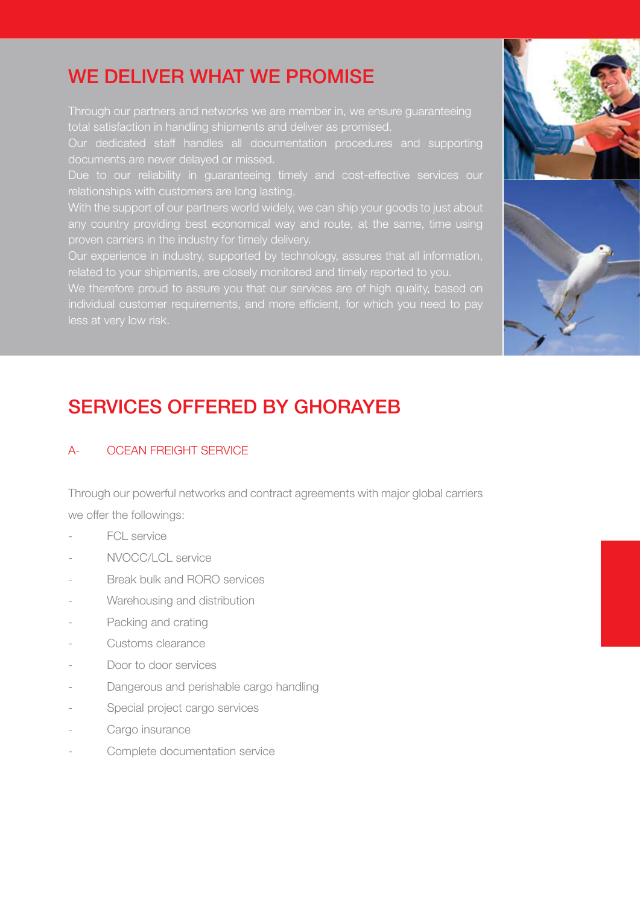# WE DELIVER WHAT WE PROMISE

Through our partners and networks we are member in, we ensure guaranteeing total satisfaction in handling shipments and deliver as promised.

Our dedicated staff handles all documentation procedures and supporting documents are never delayed or missed.

Due to our reliability in guaranteeing timely and cost-effective services our relationships with customers are long lasting.

With the support of our partners world widely, we can ship your goods to just about any country providing best economical way and route, at the same, time using

Our experience in industry, supported by technology, assures that all information, related to your shipments, are closely monitored and timely reported to you.

We therefore proud to assure you that our services are of high quality, based on individual customer requirements, and more efficient, for which you need to pay





# SERVICES OFFERED BY GHORAYEB

### A- OCEAN FREIGHT SERVICE

Through our powerful networks and contract agreements with major global carriers we offer the followings:

- FCL service
- NVOCC/LCL service
- Break bulk and RORO services
- Warehousing and distribution
- Packing and crating
- Customs clearance
- Door to door services
- Dangerous and perishable cargo handling
- Special project cargo services
- Cargo insurance
- Complete documentation service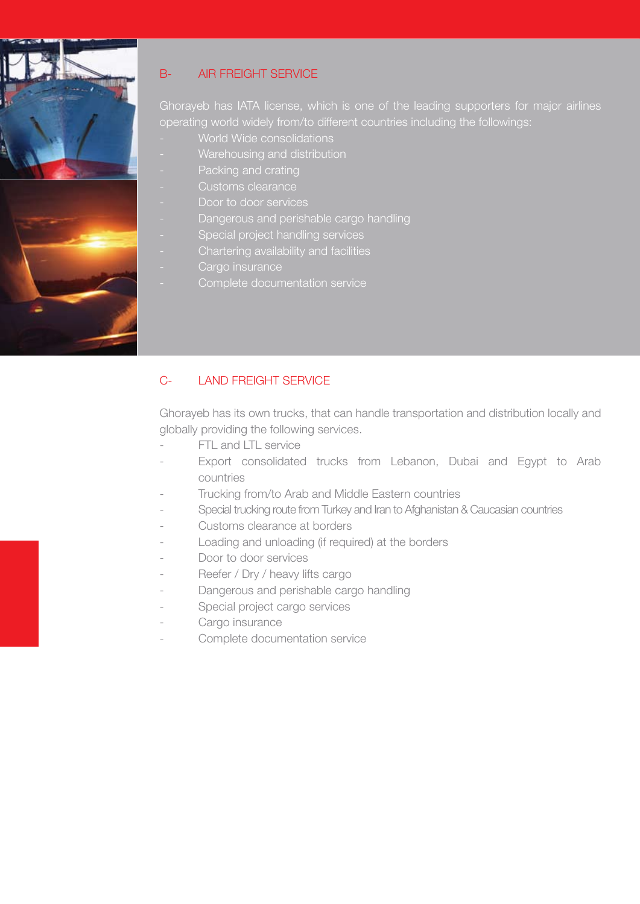

### B- AIR FREIGHT SERVICE

Ghorayeb has IATA license, which is one of the leading supporters for major airlines operating world widely from/to different countries including the followings:

- World Wide consolidations
- Warehousing and distribution
- Packing and crating
- 
- Door to door services
- Dangerous and perishable cargo handling
- Special project handling services
- Chartering availability and facilities
- Cargo insurance
	- Complete documentation service

### C- LAND FREIGHT SERVICE

Ghorayeb has its own trucks, that can handle transportation and distribution locally and globally providing the following services.

- FTL and LTL service
- Export consolidated trucks from Lebanon, Dubai and Egypt to Arab countries
- Trucking from/to Arab and Middle Eastern countries
- Special trucking route from Turkey and Iran to Afghanistan & Caucasian countries
- Customs clearance at borders
- Loading and unloading (if required) at the borders
- Door to door services
- Reefer / Dry / heavy lifts cargo
- Dangerous and perishable cargo handling
- Special project cargo services
- Cargo insurance
- Complete documentation service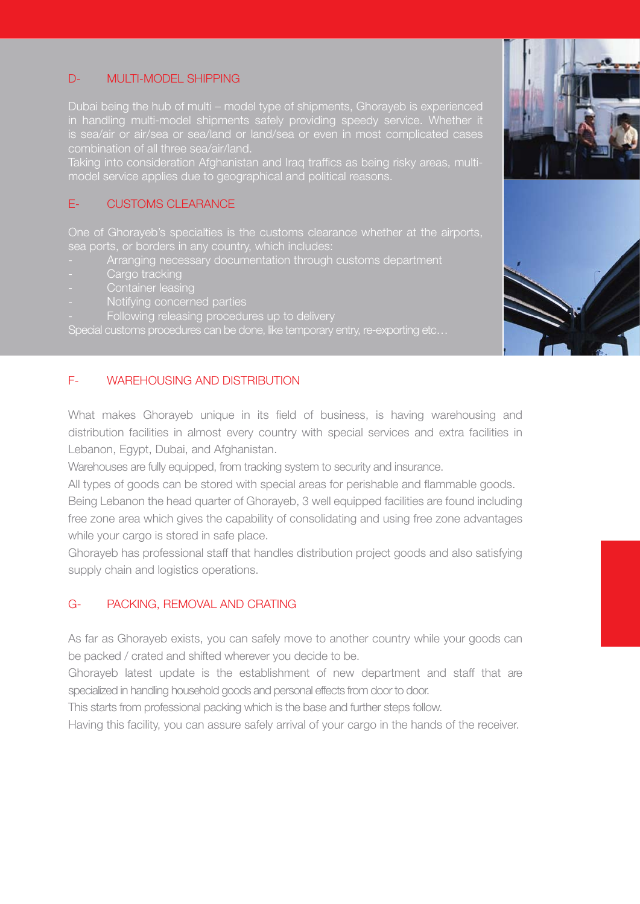#### D- MULTI-MODEL SHIPPING

Dubai being the hub of multi – model type of shipments, Ghorayeb is experienced in handling multi-model shipments safely providing speedy service. Whether it is sea/air or air/sea or sea/land or land/sea or even in most complicated cases combination of all three sea/air/land.

Taking into consideration Afghanistan and Iraq traffics as being risky areas, multimodel service applies due to geographical and political reasons.

### E- CUSTOMS CLEARANCE

One of Ghorayeb's specialties is the customs clearance whether at the airports, sea ports, or borders in any country, which includes:

- Arranging necessary documentation through customs department
- Cargo tracking
- 
- 
- Following releasing procedures up to delivery

Special customs procedures can be done, like temporary entry, re-exporting etc…

#### F- WAREHOUSING AND DISTRIBUTION

What makes Ghorayeb unique in its field of business, is having warehousing and distribution facilities in almost every country with special services and extra facilities in Lebanon, Egypt, Dubai, and Afghanistan.

Warehouses are fully equipped, from tracking system to security and insurance.

All types of goods can be stored with special areas for perishable and flammable goods.

Being Lebanon the head quarter of Ghorayeb, 3 well equipped facilities are found including free zone area which gives the capability of consolidating and using free zone advantages while your cargo is stored in safe place.

Ghorayeb has professional staff that handles distribution project goods and also satisfying supply chain and logistics operations.

#### G- PACKING, REMOVAL AND CRATING

As far as Ghorayeb exists, you can safely move to another country while your goods can be packed / crated and shifted wherever you decide to be.

Ghorayeb latest update is the establishment of new department and staff that are specialized in handling household goods and personal effects from door to door.

This starts from professional packing which is the base and further steps follow.

Having this facility, you can assure safely arrival of your cargo in the hands of the receiver.



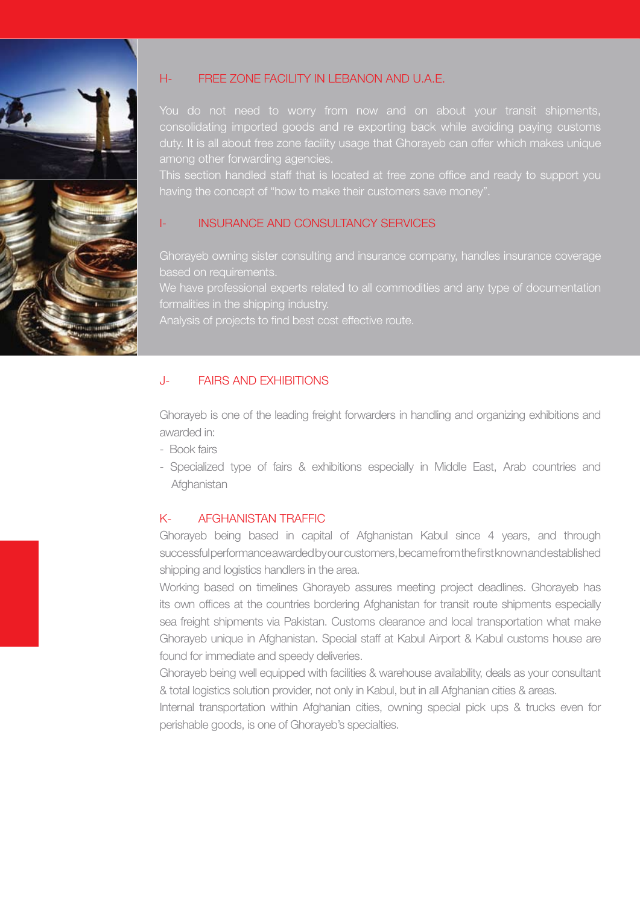

### H- FREE ZONE FACILITY IN LEBANON AND U.A.E.

You do not need to worry from now and on about your transit shipments, consolidating imported goods and re exporting back while avoiding paying customs duty. It is all about free zone facility usage that Ghorayeb can offer which makes unique among other forwarding agencies.

This section handled staff that is located at free zone office and ready to support you having the concept of "how to make their customers save money".

#### I- INSURANCE AND CONSULTANCY SERVICES

Ghorayeb owning sister consulting and insurance company, handles insurance coverage based on requirements.

We have professional experts related to all commodities and any type of documentation formalities in the shipping industry.

Analysis of projects to find best cost effective route.

#### J- FAIRS AND EXHIBITIONS

Ghorayeb is one of the leading freight forwarders in handling and organizing exhibitions and awarded in:

- Book fairs
- Specialized type of fairs & exhibitions especially in Middle East, Arab countries and **Afghanistan**

#### K- AFGHANISTAN TRAFFIC

Ghorayeb being based in capital of Afghanistan Kabul since 4 years, and through successful performance awarded by our customers, became from the first known and established shipping and logistics handlers in the area.

Working based on timelines Ghorayeb assures meeting project deadlines. Ghorayeb has its own offices at the countries bordering Afghanistan for transit route shipments especially sea freight shipments via Pakistan. Customs clearance and local transportation what make Ghorayeb unique in Afghanistan. Special staff at Kabul Airport & Kabul customs house are found for immediate and speedy deliveries.

Ghorayeb being well equipped with facilities & warehouse availability, deals as your consultant & total logistics solution provider, not only in Kabul, but in all Afghanian cities & areas.

Internal transportation within Afghanian cities, owning special pick ups & trucks even for perishable goods, is one of Ghorayeb's specialties.